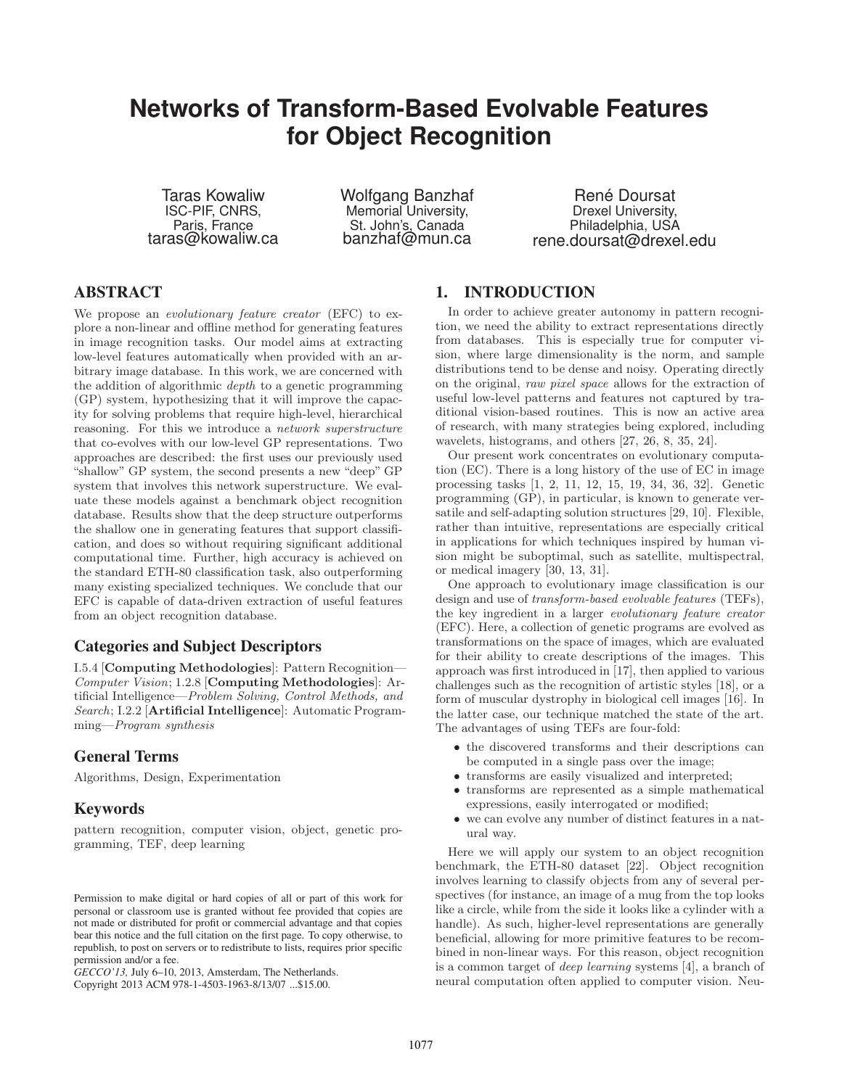# **Networks of Transform-Based Evolvable Features for Object Recognition**

Taras Kowaliw ISC-PIF, CNRS, Paris, France taras@kowaliw.ca Wolfgang Banzhaf Memorial University, St. John's, Canada banzhaf@mun.ca

René Doursat Drexel University, Philadelphia, USA rene.doursat@drexel.edu

## ABSTRACT

We propose an *evolutionary feature creator* (EFC) to explore a non-linear and offline method for generating features in image recognition tasks. Our model aims at extracting low-level features automatically when provided with an arbitrary image database. In this work, we are concerned with the addition of algorithmic depth to a genetic programming (GP) system, hypothesizing that it will improve the capacity for solving problems that require high-level, hierarchical reasoning. For this we introduce a network superstructure that co-evolves with our low-level GP representations. Two approaches are described: the first uses our previously used "shallow" GP system, the second presents a new "deep" GP system that involves this network superstructure. We evaluate these models against a benchmark object recognition database. Results show that the deep structure outperforms the shallow one in generating features that support classification, and does so without requiring significant additional computational time. Further, high accuracy is achieved on the standard ETH-80 classification task, also outperforming many existing specialized techniques. We conclude that our EFC is capable of data-driven extraction of useful features from an object recognition database.

## Categories and Subject Descriptors

I.5.4 [**Computing Methodologies**]: Pattern Recognition— Computer Vision; 1.2.8 [**Computing Methodologies**]: Artificial Intelligence—Problem Solving, Control Methods, and Search; I.2.2 [**Artificial Intelligence**]: Automatic Programming—Program synthesis

## General Terms

Algorithms, Design, Experimentation

#### Keywords

pattern recognition, computer vision, object, genetic programming, TEF, deep learning

Copyright 2013 ACM 978-1-4503-1963-8/13/07 ...\$15.00.

## 1. INTRODUCTION

In order to achieve greater autonomy in pattern recognition, we need the ability to extract representations directly from databases. This is especially true for computer vision, where large dimensionality is the norm, and sample distributions tend to be dense and noisy. Operating directly on the original, raw pixel space allows for the extraction of useful low-level patterns and features not captured by traditional vision-based routines. This is now an active area of research, with many strategies being explored, including wavelets, histograms, and others [27, 26, 8, 35, 24].

Our present work concentrates on evolutionary computation (EC). There is a long history of the use of EC in image processing tasks [1, 2, 11, 12, 15, 19, 34, 36, 32]. Genetic programming (GP), in particular, is known to generate versatile and self-adapting solution structures [29, 10]. Flexible, rather than intuitive, representations are especially critical in applications for which techniques inspired by human vision might be suboptimal, such as satellite, multispectral, or medical imagery [30, 13, 31].

One approach to evolutionary image classification is our design and use of transform-based evolvable features (TEFs), the key ingredient in a larger evolutionary feature creator (EFC). Here, a collection of genetic programs are evolved as transformations on the space of images, which are evaluated for their ability to create descriptions of the images. This approach was first introduced in [17], then applied to various challenges such as the recognition of artistic styles [18], or a form of muscular dystrophy in biological cell images [16]. In the latter case, our technique matched the state of the art. The advantages of using TEFs are four-fold:

- the discovered transforms and their descriptions can be computed in a single pass over the image;
- transforms are easily visualized and interpreted;
- transforms are represented as a simple mathematical expressions, easily interrogated or modified;
- we can evolve any number of distinct features in a natural way.

Here we will apply our system to an object recognition benchmark, the ETH-80 dataset [22]. Object recognition involves learning to classify objects from any of several perspectives (for instance, an image of a mug from the top looks like a circle, while from the side it looks like a cylinder with a handle). As such, higher-level representations are generally beneficial, allowing for more primitive features to be recombined in non-linear ways. For this reason, object recognition is a common target of deep learning systems [4], a branch of neural computation often applied to computer vision. Neu-

Permission to make digital or hard copies of all or part of this work for personal or classroom use is granted without fee provided that copies are not made or distributed for profit or commercial advantage and that copies bear this notice and the full citation on the first page. To copy otherwise, to republish, to post on servers or to redistribute to lists, requires prior specific permission and/or a fee.

*GECCO'13,* July 6–10, 2013, Amsterdam, The Netherlands.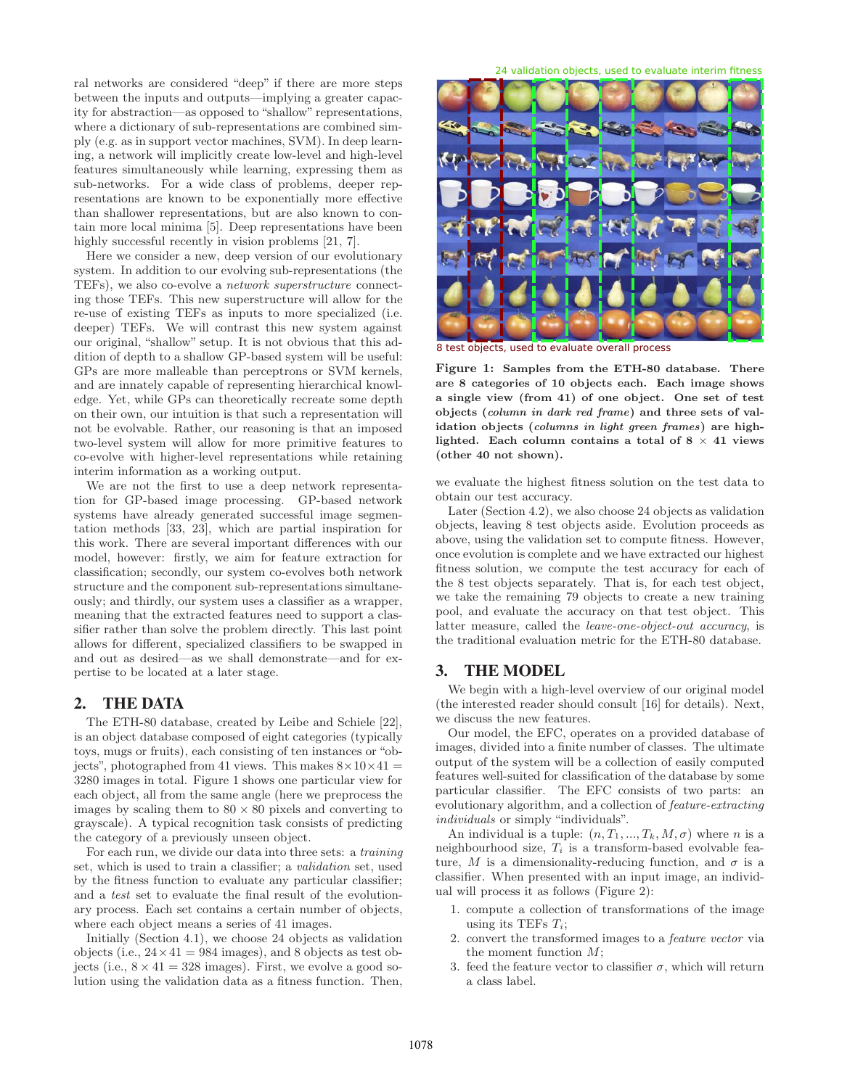ral networks are considered "deep" if there are more steps between the inputs and outputs—implying a greater capacity for abstraction—as opposed to "shallow" representations, where a dictionary of sub-representations are combined simply (e.g. as in support vector machines, SVM). In deep learning, a network will implicitly create low-level and high-level features simultaneously while learning, expressing them as sub-networks. For a wide class of problems, deeper representations are known to be exponentially more effective than shallower representations, but are also known to contain more local minima [5]. Deep representations have been highly successful recently in vision problems [21, 7].

Here we consider a new, deep version of our evolutionary system. In addition to our evolving sub-representations (the TEFs), we also co-evolve a network superstructure connecting those TEFs. This new superstructure will allow for the re-use of existing TEFs as inputs to more specialized (i.e. deeper) TEFs. We will contrast this new system against our original, "shallow" setup. It is not obvious that this addition of depth to a shallow GP-based system will be useful: GPs are more malleable than perceptrons or SVM kernels, and are innately capable of representing hierarchical knowledge. Yet, while GPs can theoretically recreate some depth on their own, our intuition is that such a representation will not be evolvable. Rather, our reasoning is that an imposed two-level system will allow for more primitive features to co-evolve with higher-level representations while retaining interim information as a working output.

We are not the first to use a deep network representation for GP-based image processing. GP-based network systems have already generated successful image segmentation methods [33, 23], which are partial inspiration for this work. There are several important differences with our model, however: firstly, we aim for feature extraction for classification; secondly, our system co-evolves both network structure and the component sub-representations simultaneously; and thirdly, our system uses a classifier as a wrapper, meaning that the extracted features need to support a classifier rather than solve the problem directly. This last point allows for different, specialized classifiers to be swapped in and out as desired—as we shall demonstrate—and for expertise to be located at a later stage.

## 2. THE DATA

The ETH-80 database, created by Leibe and Schiele [22], is an object database composed of eight categories (typically toys, mugs or fruits), each consisting of ten instances or "objects", photographed from 41 views. This makes  $8 \times 10 \times 41 =$ 3280 images in total. Figure 1 shows one particular view for each object, all from the same angle (here we preprocess the images by scaling them to  $80 \times 80$  pixels and converting to grayscale). A typical recognition task consists of predicting the category of a previously unseen object.

For each run, we divide our data into three sets: a training set, which is used to train a classifier; a validation set, used by the fitness function to evaluate any particular classifier; and a test set to evaluate the final result of the evolutionary process. Each set contains a certain number of objects, where each object means a series of 41 images.

Initially (Section 4.1), we choose 24 objects as validation objects (i.e.,  $24 \times 41 = 984$  images), and 8 objects as test objects (i.e.,  $8 \times 41 = 328$  images). First, we evolve a good solution using the validation data as a fitness function. Then, 24 validation objects, used to evaluate interim fitness



8 test objects, used to evaluate overall process

**Figure 1: Samples from the ETH-80 database. There are 8 categories of 10 objects each. Each image shows a single view (from 41) of one object. One set of test objects (***column in dark red frame***) and three sets of validation objects (***columns in light green frames***) are high**lighted. Each column contains a total of  $8 \times 41$  views **(other 40 not shown).**

we evaluate the highest fitness solution on the test data to obtain our test accuracy.

Later (Section 4.2), we also choose 24 objects as validation objects, leaving 8 test objects aside. Evolution proceeds as above, using the validation set to compute fitness. However, once evolution is complete and we have extracted our highest fitness solution, we compute the test accuracy for each of the 8 test objects separately. That is, for each test object, we take the remaining 79 objects to create a new training pool, and evaluate the accuracy on that test object. This latter measure, called the leave-one-object-out accuracy, is the traditional evaluation metric for the ETH-80 database.

#### 3. THE MODEL

We begin with a high-level overview of our original model (the interested reader should consult [16] for details). Next, we discuss the new features.

Our model, the EFC, operates on a provided database of images, divided into a finite number of classes. The ultimate output of the system will be a collection of easily computed features well-suited for classification of the database by some particular classifier. The EFC consists of two parts: an evolutionary algorithm, and a collection of feature-extracting individuals or simply "individuals".

An individual is a tuple:  $(n, T_1, ..., T_k, M, \sigma)$  where *n* is a neighbourhood size, T*<sup>i</sup>* is a transform-based evolvable feature, M is a dimensionality-reducing function, and  $\sigma$  is a classifier. When presented with an input image, an individual will process it as follows (Figure 2):

- 1. compute a collection of transformations of the image using its TEFs T*i*;
- 2. convert the transformed images to a feature vector via the moment function M;
- 3. feed the feature vector to classifier  $\sigma$ , which will return a class label.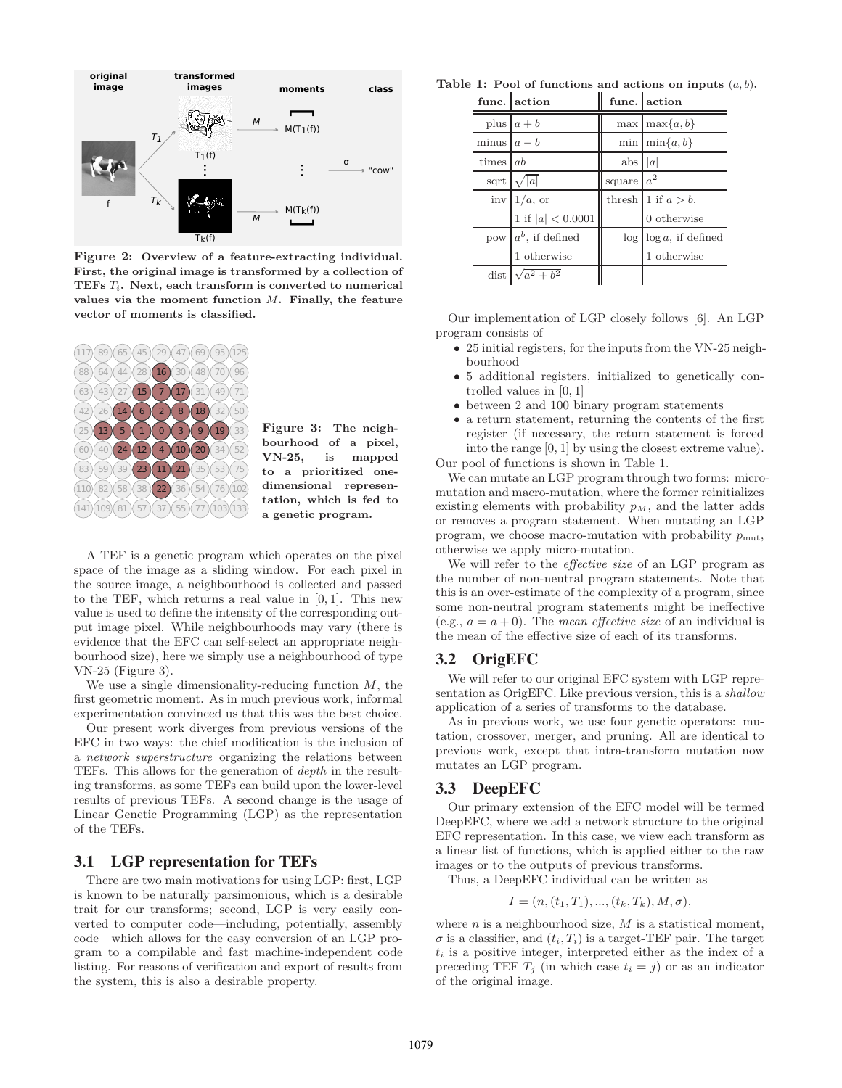

**Figure 2: Overview of a feature-extracting individual. First, the original image is transformed by a collection of TEFs** T*i***. Next, each transform is converted to numerical values via the moment function** M**. Finally, the feature vector of moments is classified.**



**Figure 3: The neighbourhood of a pixel, VN-25, is mapped to a prioritized onedimensional representation, which is fed to a genetic program.**

A TEF is a genetic program which operates on the pixel space of the image as a sliding window. For each pixel in the source image, a neighbourhood is collected and passed to the TEF, which returns a real value in [0, 1]. This new value is used to define the intensity of the corresponding output image pixel. While neighbourhoods may vary (there is evidence that the EFC can self-select an appropriate neighbourhood size), here we simply use a neighbourhood of type VN-25 (Figure 3).

We use a single dimensionality-reducing function  $M$ , the first geometric moment. As in much previous work, informal experimentation convinced us that this was the best choice.

Our present work diverges from previous versions of the EFC in two ways: the chief modification is the inclusion of a network superstructure organizing the relations between TEFs. This allows for the generation of depth in the resulting transforms, as some TEFs can build upon the lower-level results of previous TEFs. A second change is the usage of Linear Genetic Programming (LGP) as the representation of the TEFs.

#### 3.1 LGP representation for TEFs

There are two main motivations for using LGP: first, LGP is known to be naturally parsimonious, which is a desirable trait for our transforms; second, LGP is very easily converted to computer code—including, potentially, assembly code—which allows for the easy conversion of an LGP program to a compilable and fast machine-independent code listing. For reasons of verification and export of results from the system, this is also a desirable property.

|  | Table 1: Pool of functions and actions on inputs $(a, b)$ . |  |  |  |
|--|-------------------------------------------------------------|--|--|--|
|  |                                                             |  |  |  |

|       | func. action            |        | func. action          |
|-------|-------------------------|--------|-----------------------|
| plus  | $a + b$                 | max    | $\max\{a,b\}$         |
| minus | $a-b$                   | min    | $\min\{a, b\}$        |
| times | ab                      | abs    | a                     |
| sqrt  | a                       | square | $a^2$                 |
|       | inv $1/a$ , or          |        | thresh 1 if $a > b$ , |
|       | 1 if $ a  < 0.0001$     |        | 0 otherwise           |
|       | pow $a^b$ , if defined  | log    | $log a$ , if defined  |
|       | 1 otherwise             |        | 1 otherwise           |
|       | dist $\sqrt{a^2 + b^2}$ |        |                       |

Our implementation of LGP closely follows [6]. An LGP program consists of

- 25 initial registers, for the inputs from the VN-25 neighbourhood
- 5 additional registers, initialized to genetically controlled values in [0, 1]
- between 2 and 100 binary program statements
- a return statement, returning the contents of the first register (if necessary, the return statement is forced into the range [0, 1] by using the closest extreme value). Our pool of functions is shown in Table 1.

We can mutate an LGP program through two forms: micromutation and macro-mutation, where the former reinitializes existing elements with probability  $p_M$ , and the latter adds or removes a program statement. When mutating an LGP program, we choose macro-mutation with probability  $p_{\text{mut}}$ , otherwise we apply micro-mutation.

We will refer to the *effective size* of an LGP program as the number of non-neutral program statements. Note that this is an over-estimate of the complexity of a program, since some non-neutral program statements might be ineffective (e.g.,  $a = a + 0$ ). The mean effective size of an individual is the mean of the effective size of each of its transforms.

## 3.2 OrigEFC

We will refer to our original EFC system with LGP representation as OrigEFC. Like previous version, this is a shallow application of a series of transforms to the database.

As in previous work, we use four genetic operators: mutation, crossover, merger, and pruning. All are identical to previous work, except that intra-transform mutation now mutates an LGP program.

#### 3.3 DeepEFC

Our primary extension of the EFC model will be termed DeepEFC, where we add a network structure to the original EFC representation. In this case, we view each transform as a linear list of functions, which is applied either to the raw images or to the outputs of previous transforms.

Thus, a DeepEFC individual can be written as

$$
I = (n, (t_1, T_1), ..., (t_k, T_k), M, \sigma),
$$

where  $n$  is a neighbourhood size,  $M$  is a statistical moment,  $\sigma$  is a classifier, and  $(t_i, T_i)$  is a target-TEF pair. The target  $t_i$  is a positive integer, interpreted either as the index of a preceding TEF  $T_j$  (in which case  $t_i = j$ ) or as an indicator of the original image.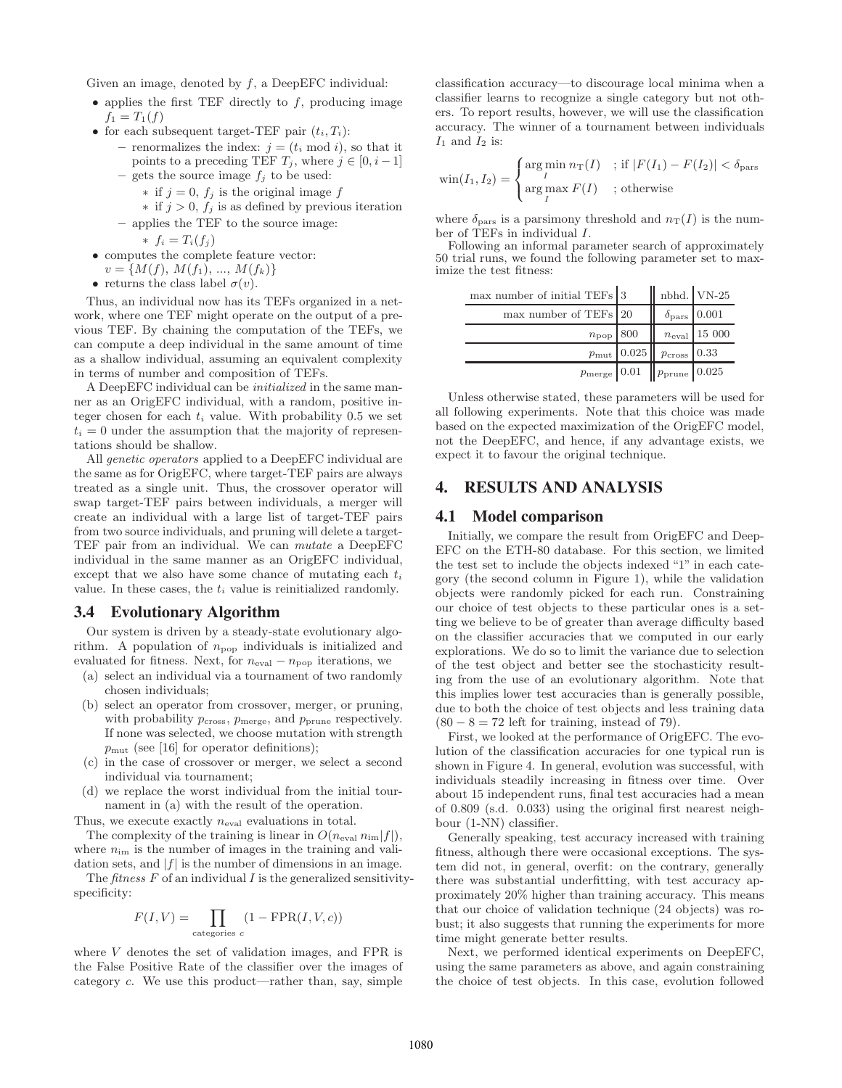Given an image, denoted by  $f$ , a DeepEFC individual:

- applies the first TEF directly to  $f$ , producing image  $f_1 = T_1(f)$
- for each subsequent target-TEF pair  $(t_i, T_i)$ :
	- renormalizes the index:  $j = (t_i \text{ mod } i)$ , so that it points to a preceding TEF  $T_i$ , where  $j \in [0, i-1]$ 
		- $-$  gets the source image  $f_j$  to be used:
			- $∗$  if  $j = 0, f_j$  is the original image f
			- ∗ if j > 0, f*<sup>j</sup>* is as defined by previous iteration
		- **–** applies the TEF to the source image:

```
∗ fi = Ti(fj )
```
- computes the complete feature vector:
- $v = \{M(f), M(f_1), ..., M(f_k)\}\$
- returns the class label  $\sigma(v)$ .

Thus, an individual now has its TEFs organized in a network, where one TEF might operate on the output of a previous TEF. By chaining the computation of the TEFs, we can compute a deep individual in the same amount of time as a shallow individual, assuming an equivalent complexity in terms of number and composition of TEFs.

A DeepEFC individual can be initialized in the same manner as an OrigEFC individual, with a random, positive integer chosen for each  $t_i$  value. With probability  $0.5$  we set  $t_i = 0$  under the assumption that the majority of representations should be shallow.

All *genetic operators* applied to a DeepEFC individual are the same as for OrigEFC, where target-TEF pairs are always treated as a single unit. Thus, the crossover operator will swap target-TEF pairs between individuals, a merger will create an individual with a large list of target-TEF pairs from two source individuals, and pruning will delete a target-TEF pair from an individual. We can mutate a DeepEFC individual in the same manner as an OrigEFC individual, except that we also have some chance of mutating each t*<sup>i</sup>* value. In these cases, the t*<sup>i</sup>* value is reinitialized randomly.

#### 3.4 Evolutionary Algorithm

Our system is driven by a steady-state evolutionary algorithm. A population of  $n_{\text{pop}}$  individuals is initialized and evaluated for fitness. Next, for  $n_{eval} - n_{pop}$  iterations, we

- (a) select an individual via a tournament of two randomly chosen individuals;
- (b) select an operator from crossover, merger, or pruning, with probability  $p_{\rm cross},\,p_{\rm merge},$  and  $p_{\rm prune}$  respectively. If none was selected, we choose mutation with strength  $p_{\text{mut}}$  (see [16] for operator definitions);
- (c) in the case of crossover or merger, we select a second individual via tournament;
- (d) we replace the worst individual from the initial tournament in (a) with the result of the operation.

Thus, we execute exactly  $n_{eval}$  evaluations in total.

The complexity of the training is linear in  $O(n_{\text{eval}} n_{\text{im}}|f|)$ , where  $n_{\text{im}}$  is the number of images in the training and validation sets, and  $|f|$  is the number of dimensions in an image.

The fitness  $F$  of an individual  $I$  is the generalized sensitivityspecificity:

$$
F(I, V) = \prod_{\text{categories } c} (1 - \text{FPR}(I, V, c))
$$

where  $V$  denotes the set of validation images, and  $FPR$  is the False Positive Rate of the classifier over the images of category c. We use this product—rather than, say, simple

classification accuracy—to discourage local minima when a classifier learns to recognize a single category but not others. To report results, however, we will use the classification accuracy. The winner of a tournament between individuals  $I_1$  and  $I_2$  is:

$$
\text{win}(I_1, I_2) = \begin{cases} \text{arg min } n \cdot \text{T}(I) & \text{; if } |F(I_1) - F(I_2)| < \delta_{\text{pars}}\\ \text{arg max } F(I) & \text{; otherwise} \end{cases}
$$

where  $\delta_{\text{pars}}$  is a parsimony threshold and  $n_T(I)$  is the number of TEFs in individual I.

Following an informal parameter search of approximately 50 trial runs, we found the following parameter set to maximize the test fitness:

| max number of initial TEFs 3 |                        |                                                            | nbhd. VN-25                    |
|------------------------------|------------------------|------------------------------------------------------------|--------------------------------|
| max number of TEFs 20        |                        |                                                            | $\delta_{\text{pars}}$ 0.001   |
| $n_{\rm pop}$   800          |                        |                                                            | $n_{\mathrm{eval}}$   15 $000$ |
|                              | $p_{\text{mut}}$ 0.025 | $p_{\text{cross}}$ 0.33                                    |                                |
|                              |                        | $p_{\text{merge}}$ 0.01 $\parallel p_{\text{prune}}$ 0.025 |                                |

Unless otherwise stated, these parameters will be used for all following experiments. Note that this choice was made based on the expected maximization of the OrigEFC model, not the DeepEFC, and hence, if any advantage exists, we expect it to favour the original technique.

## 4. RESULTS AND ANALYSIS

#### 4.1 Model comparison

Initially, we compare the result from OrigEFC and Deep-EFC on the ETH-80 database. For this section, we limited the test set to include the objects indexed "1" in each category (the second column in Figure 1), while the validation objects were randomly picked for each run. Constraining our choice of test objects to these particular ones is a setting we believe to be of greater than average difficulty based on the classifier accuracies that we computed in our early explorations. We do so to limit the variance due to selection of the test object and better see the stochasticity resulting from the use of an evolutionary algorithm. Note that this implies lower test accuracies than is generally possible, due to both the choice of test objects and less training data  $(80 - 8 = 72$  left for training, instead of 79).

First, we looked at the performance of OrigEFC. The evolution of the classification accuracies for one typical run is shown in Figure 4. In general, evolution was successful, with individuals steadily increasing in fitness over time. Over about 15 independent runs, final test accuracies had a mean of 0.809 (s.d. 0.033) using the original first nearest neighbour (1-NN) classifier.

Generally speaking, test accuracy increased with training fitness, although there were occasional exceptions. The system did not, in general, overfit: on the contrary, generally there was substantial underfitting, with test accuracy approximately 20% higher than training accuracy. This means that our choice of validation technique (24 objects) was robust; it also suggests that running the experiments for more time might generate better results.

Next, we performed identical experiments on DeepEFC, using the same parameters as above, and again constraining the choice of test objects. In this case, evolution followed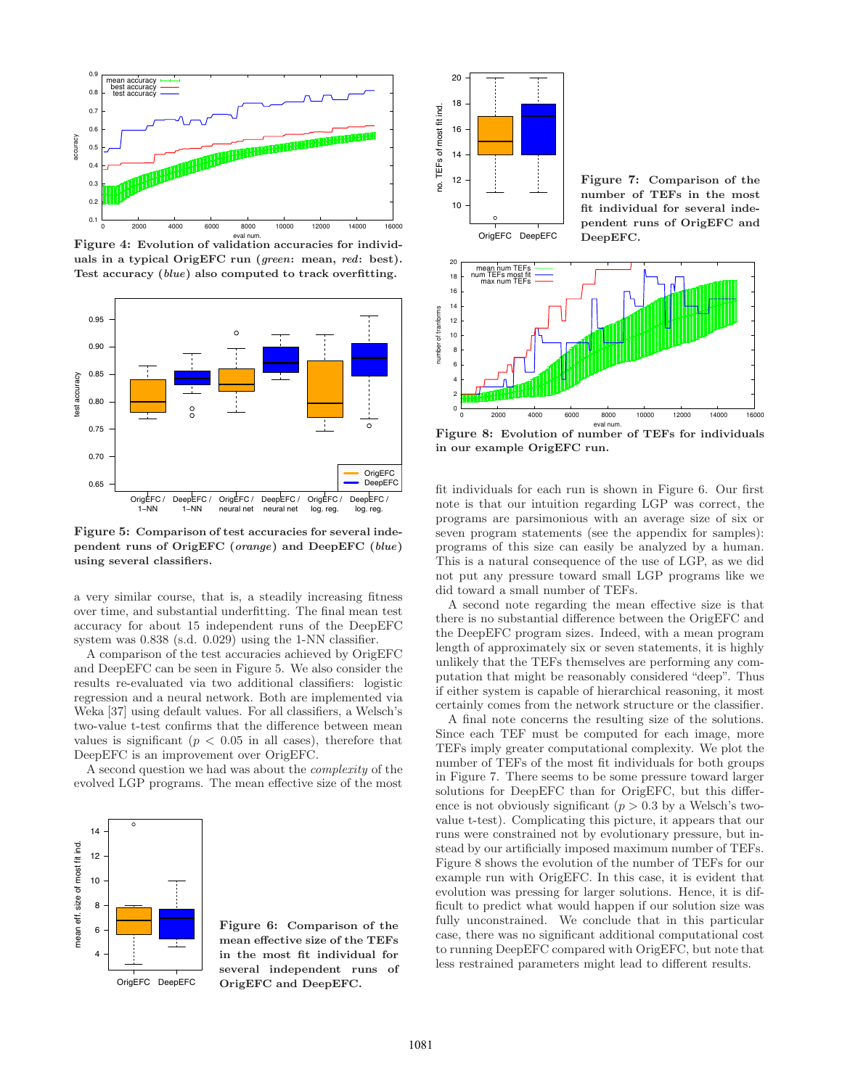

eval num. **Figure 4: Evolution of validation accuracies for individuals in a typical OrigEFC run (***green***: mean,** *red***: best). Test accuracy (***blue***) also computed to track overfitting.**



**Figure 5: Comparison of test accuracies for several independent runs of OrigEFC (***orange***) and DeepEFC (***blue***) using several classifiers.**

a very similar course, that is, a steadily increasing fitness over time, and substantial underfitting. The final mean test accuracy for about 15 independent runs of the DeepEFC system was 0.838 (s.d. 0.029) using the 1-NN classifier.

A comparison of the test accuracies achieved by OrigEFC and DeepEFC can be seen in Figure 5. We also consider the results re-evaluated via two additional classifiers: logistic regression and a neural network. Both are implemented via Weka [37] using default values. For all classifiers, a Welsch's two-value t-test confirms that the difference between mean values is significant  $(p < 0.05$  in all cases), therefore that DeepEFC is an improvement over OrigEFC.

A second question we had was about the complexity of the evolved LGP programs. The mean effective size of the most



**Figure 6: Comparison of the mean effective size of the TEFs in the most fit individual for several independent runs of OrigEFC and DeepEFC.**



**Figure 7: Comparison of the number of TEFs in the most fit individual for several independent runs of OrigEFC and DeepEFC.**



**Figure 8: Evolution of number of TEFs for individuals in our example OrigEFC run.**

fit individuals for each run is shown in Figure 6. Our first note is that our intuition regarding LGP was correct, the programs are parsimonious with an average size of six or seven program statements (see the appendix for samples): programs of this size can easily be analyzed by a human. This is a natural consequence of the use of LGP, as we did not put any pressure toward small LGP programs like we did toward a small number of TEFs.

A second note regarding the mean effective size is that there is no substantial difference between the OrigEFC and the DeepEFC program sizes. Indeed, with a mean program length of approximately six or seven statements, it is highly unlikely that the TEFs themselves are performing any computation that might be reasonably considered "deep". Thus if either system is capable of hierarchical reasoning, it most certainly comes from the network structure or the classifier.

A final note concerns the resulting size of the solutions. Since each TEF must be computed for each image, more TEFs imply greater computational complexity. We plot the number of TEFs of the most fit individuals for both groups in Figure 7. There seems to be some pressure toward larger solutions for DeepEFC than for OrigEFC, but this difference is not obviously significant ( $p > 0.3$  by a Welsch's twovalue t-test). Complicating this picture, it appears that our runs were constrained not by evolutionary pressure, but instead by our artificially imposed maximum number of TEFs. Figure 8 shows the evolution of the number of TEFs for our example run with OrigEFC. In this case, it is evident that evolution was pressing for larger solutions. Hence, it is difficult to predict what would happen if our solution size was fully unconstrained. We conclude that in this particular case, there was no significant additional computational cost to running DeepEFC compared with OrigEFC, but note that less restrained parameters might lead to different results.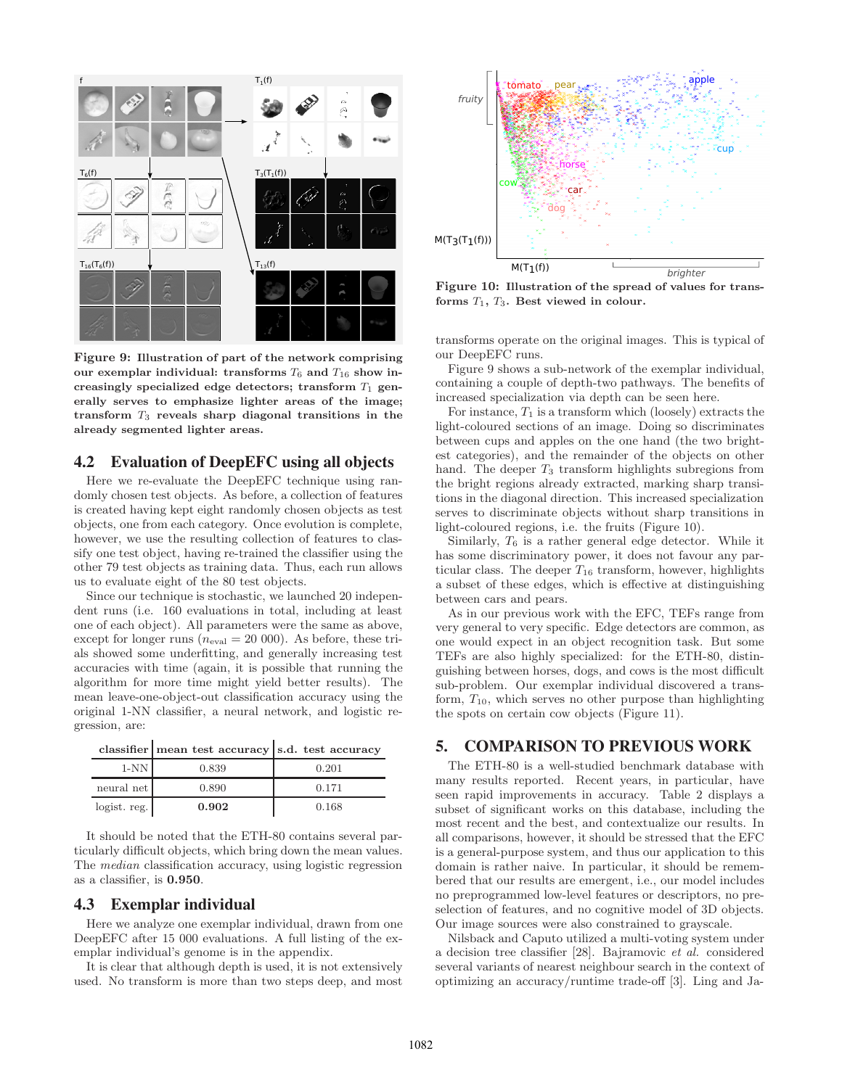

**Figure 9: Illustration of part of the network comprising** our exemplar individual: transforms  $T_6$  and  $T_{16}$  show increasingly specialized edge detectors; transform  $T_1$  gen**erally serves to emphasize lighter areas of the image; transform** <sup>T</sup>3 **reveals sharp diagonal transitions in the already segmented lighter areas.**

## 4.2 Evaluation of DeepEFC using all objects

Here we re-evaluate the DeepEFC technique using randomly chosen test objects. As before, a collection of features is created having kept eight randomly chosen objects as test objects, one from each category. Once evolution is complete, however, we use the resulting collection of features to classify one test object, having re-trained the classifier using the other 79 test objects as training data. Thus, each run allows us to evaluate eight of the 80 test objects.

Since our technique is stochastic, we launched 20 independent runs (i.e. 160 evaluations in total, including at least one of each object). All parameters were the same as above, except for longer runs ( $n_{eval} = 20 000$ ). As before, these trials showed some underfitting, and generally increasing test accuracies with time (again, it is possible that running the algorithm for more time might yield better results). The mean leave-one-object-out classification accuracy using the original 1-NN classifier, a neural network, and logistic regression, are:

**classifier mean test accuracy s.d. test accuracy**

| $1-NN$       | 0.839 | 0.201 |
|--------------|-------|-------|
| neural net   | 0.890 | 0.171 |
| logist. reg. | 0.902 | 0.168 |

It should be noted that the ETH-80 contains several particularly difficult objects, which bring down the mean values. The median classification accuracy, using logistic regression as a classifier, is **0.950**.

## 4.3 Exemplar individual

Here we analyze one exemplar individual, drawn from one DeepEFC after 15 000 evaluations. A full listing of the exemplar individual's genome is in the appendix.

It is clear that although depth is used, it is not extensively used. No transform is more than two steps deep, and most



**Figure 10: Illustration of the spread of values for transforms** <sup>T</sup>1**,** <sup>T</sup>3**. Best viewed in colour.**

transforms operate on the original images. This is typical of our DeepEFC runs.

Figure 9 shows a sub-network of the exemplar individual, containing a couple of depth-two pathways. The benefits of increased specialization via depth can be seen here.

For instance,  $T_1$  is a transform which (loosely) extracts the light-coloured sections of an image. Doing so discriminates between cups and apples on the one hand (the two brightest categories), and the remainder of the objects on other hand. The deeper  $T_3$  transform highlights subregions from the bright regions already extracted, marking sharp transitions in the diagonal direction. This increased specialization serves to discriminate objects without sharp transitions in light-coloured regions, i.e. the fruits (Figure 10).

Similarly,  $T_6$  is a rather general edge detector. While it has some discriminatory power, it does not favour any particular class. The deeper  $T_{16}$  transform, however, highlights a subset of these edges, which is effective at distinguishing between cars and pears.

As in our previous work with the EFC, TEFs range from very general to very specific. Edge detectors are common, as one would expect in an object recognition task. But some TEFs are also highly specialized: for the ETH-80, distinguishing between horses, dogs, and cows is the most difficult sub-problem. Our exemplar individual discovered a transform,  $T_{10}$ , which serves no other purpose than highlighting the spots on certain cow objects (Figure 11).

## 5. COMPARISON TO PREVIOUS WORK

The ETH-80 is a well-studied benchmark database with many results reported. Recent years, in particular, have seen rapid improvements in accuracy. Table 2 displays a subset of significant works on this database, including the most recent and the best, and contextualize our results. In all comparisons, however, it should be stressed that the EFC is a general-purpose system, and thus our application to this domain is rather naive. In particular, it should be remembered that our results are emergent, i.e., our model includes no preprogrammed low-level features or descriptors, no preselection of features, and no cognitive model of 3D objects. Our image sources were also constrained to grayscale.

Nilsback and Caputo utilized a multi-voting system under a decision tree classifier [28]. Bajramovic et al. considered several variants of nearest neighbour search in the context of optimizing an accuracy/runtime trade-off [3]. Ling and Ja-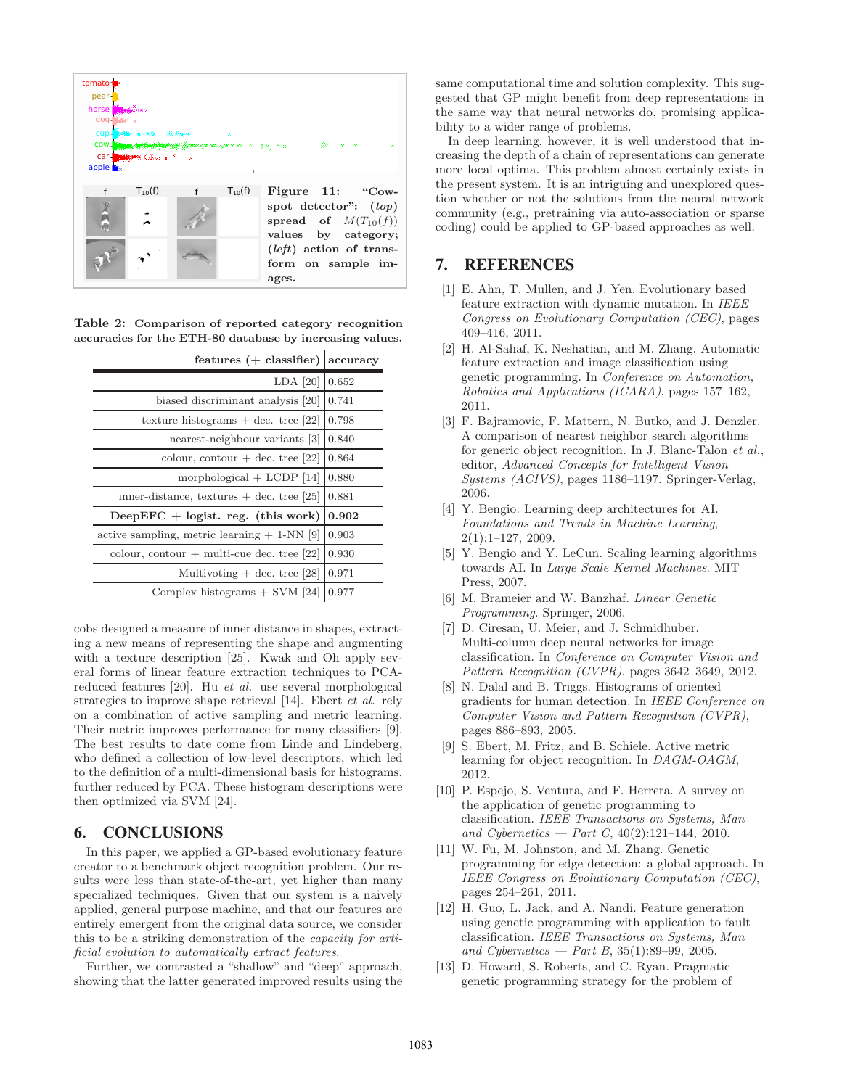

**Table 2: Comparison of reported category recognition accuracies for the ETH-80 database by increasing values.**

| $features (+ classifier)$                      | accuracy |
|------------------------------------------------|----------|
| $LDA$ [20]                                     | 0.652    |
| biased discriminant analysis [20]              | 0.741    |
| texture histograms $+$ dec. tree [22]          | 0.798    |
| nearest-neighbour variants 3                   | 0.840    |
| colour, contour $+$ dec. tree [22]             | 0.864    |
| morphological $+$ LCDP [14]                    | 0.880    |
| inner-distance, textures $+$ dec. tree [25]    | 0.881    |
| DeepEFC $+$ logist. reg. (this work)           | 0.902    |
| active sampling, metric learning $+ 1$ -NN [9] | 0.903    |
| colour, contour $+$ multi-cue dec. tree [22]   | 0.930    |
| Multivoting $+$ dec. tree [28]                 | 0.971    |
| Complex histograms $+$ SVM [24]                | 0.977    |

Complex histograms  $+$  SVM [24]  $0.977$ 

cobs designed a measure of inner distance in shapes, extracting a new means of representing the shape and augmenting with a texture description [25]. Kwak and Oh apply several forms of linear feature extraction techniques to PCAreduced features [20]. Hu et al. use several morphological strategies to improve shape retrieval [14]. Ebert et al. rely on a combination of active sampling and metric learning. Their metric improves performance for many classifiers [9]. The best results to date come from Linde and Lindeberg, who defined a collection of low-level descriptors, which led to the definition of a multi-dimensional basis for histograms, further reduced by PCA. These histogram descriptions were then optimized via SVM [24].

## 6. CONCLUSIONS

In this paper, we applied a GP-based evolutionary feature creator to a benchmark object recognition problem. Our results were less than state-of-the-art, yet higher than many specialized techniques. Given that our system is a naively applied, general purpose machine, and that our features are entirely emergent from the original data source, we consider this to be a striking demonstration of the capacity for artificial evolution to automatically extract features.

Further, we contrasted a "shallow" and "deep" approach, showing that the latter generated improved results using the same computational time and solution complexity. This suggested that GP might benefit from deep representations in the same way that neural networks do, promising applicability to a wider range of problems.

In deep learning, however, it is well understood that increasing the depth of a chain of representations can generate more local optima. This problem almost certainly exists in the present system. It is an intriguing and unexplored question whether or not the solutions from the neural network community (e.g., pretraining via auto-association or sparse coding) could be applied to GP-based approaches as well.

# 7. REFERENCES

- [1] E. Ahn, T. Mullen, and J. Yen. Evolutionary based feature extraction with dynamic mutation. In IEEE Congress on Evolutionary Computation (CEC), pages 409–416, 2011.
- [2] H. Al-Sahaf, K. Neshatian, and M. Zhang. Automatic feature extraction and image classification using genetic programming. In Conference on Automation, Robotics and Applications (ICARA), pages 157–162, 2011.
- [3] F. Bajramovic, F. Mattern, N. Butko, and J. Denzler. A comparison of nearest neighbor search algorithms for generic object recognition. In J. Blanc-Talon et al., editor, Advanced Concepts for Intelligent Vision Systems (ACIVS), pages 1186–1197. Springer-Verlag, 2006.
- [4] Y. Bengio. Learning deep architectures for AI. Foundations and Trends in Machine Learning, 2(1):1–127, 2009.
- [5] Y. Bengio and Y. LeCun. Scaling learning algorithms towards AI. In Large Scale Kernel Machines. MIT Press, 2007.
- [6] M. Brameier and W. Banzhaf. Linear Genetic Programming. Springer, 2006.
- [7] D. Ciresan, U. Meier, and J. Schmidhuber. Multi-column deep neural networks for image classification. In Conference on Computer Vision and Pattern Recognition (CVPR), pages 3642–3649, 2012.
- [8] N. Dalal and B. Triggs. Histograms of oriented gradients for human detection. In IEEE Conference on Computer Vision and Pattern Recognition (CVPR), pages 886–893, 2005.
- [9] S. Ebert, M. Fritz, and B. Schiele. Active metric learning for object recognition. In DAGM-OAGM, 2012.
- [10] P. Espejo, S. Ventura, and F. Herrera. A survey on the application of genetic programming to classification. IEEE Transactions on Systems, Man and Cybernetics — Part C,  $40(2):121-144$ , 2010.
- [11] W. Fu, M. Johnston, and M. Zhang. Genetic programming for edge detection: a global approach. In IEEE Congress on Evolutionary Computation (CEC), pages 254–261, 2011.
- [12] H. Guo, L. Jack, and A. Nandi. Feature generation using genetic programming with application to fault classification. IEEE Transactions on Systems, Man and Cybernetics — Part B,  $35(1):89-99$ , 2005.
- [13] D. Howard, S. Roberts, and C. Ryan. Pragmatic genetic programming strategy for the problem of